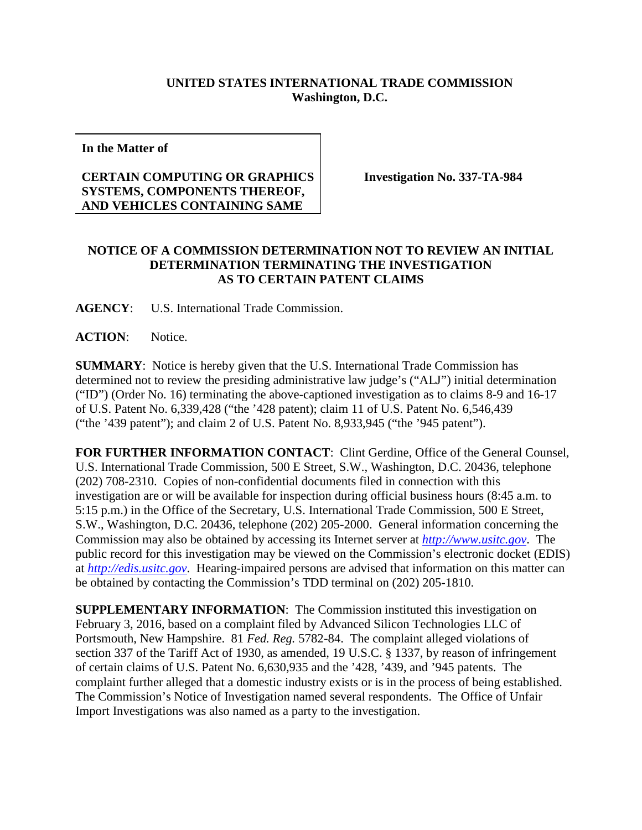## **UNITED STATES INTERNATIONAL TRADE COMMISSION Washington, D.C.**

**In the Matter of**

## **CERTAIN COMPUTING OR GRAPHICS SYSTEMS, COMPONENTS THEREOF, AND VEHICLES CONTAINING SAME**

**Investigation No. 337-TA-984**

## **NOTICE OF A COMMISSION DETERMINATION NOT TO REVIEW AN INITIAL DETERMINATION TERMINATING THE INVESTIGATION AS TO CERTAIN PATENT CLAIMS**

**AGENCY**: U.S. International Trade Commission.

**ACTION**: Notice.

**SUMMARY**: Notice is hereby given that the U.S. International Trade Commission has determined not to review the presiding administrative law judge's ("ALJ") initial determination ("ID") (Order No. 16) terminating the above-captioned investigation as to claims 8-9 and 16-17 of U.S. Patent No. 6,339,428 ("the '428 patent); claim 11 of U.S. Patent No. 6,546,439 ("the '439 patent"); and claim 2 of U.S. Patent No. 8,933,945 ("the '945 patent").

**FOR FURTHER INFORMATION CONTACT**: Clint Gerdine, Office of the General Counsel, U.S. International Trade Commission, 500 E Street, S.W., Washington, D.C. 20436, telephone (202) 708-2310. Copies of non-confidential documents filed in connection with this investigation are or will be available for inspection during official business hours (8:45 a.m. to 5:15 p.m.) in the Office of the Secretary, U.S. International Trade Commission, 500 E Street, S.W., Washington, D.C. 20436, telephone (202) 205-2000. General information concerning the Commission may also be obtained by accessing its Internet server at *[http://www.usitc.gov](http://www.usitc.gov/)*. The public record for this investigation may be viewed on the Commission's electronic docket (EDIS) at *[http://edis.usitc.gov](http://edis.usitc.gov/)*. Hearing-impaired persons are advised that information on this matter can be obtained by contacting the Commission's TDD terminal on (202) 205-1810.

**SUPPLEMENTARY INFORMATION**: The Commission instituted this investigation on February 3, 2016, based on a complaint filed by Advanced Silicon Technologies LLC of Portsmouth, New Hampshire. 81 *Fed. Reg.* 5782-84. The complaint alleged violations of section 337 of the Tariff Act of 1930, as amended, 19 U.S.C. § 1337, by reason of infringement of certain claims of U.S. Patent No. 6,630,935 and the '428, '439, and '945 patents. The complaint further alleged that a domestic industry exists or is in the process of being established. The Commission's Notice of Investigation named several respondents. The Office of Unfair Import Investigations was also named as a party to the investigation.